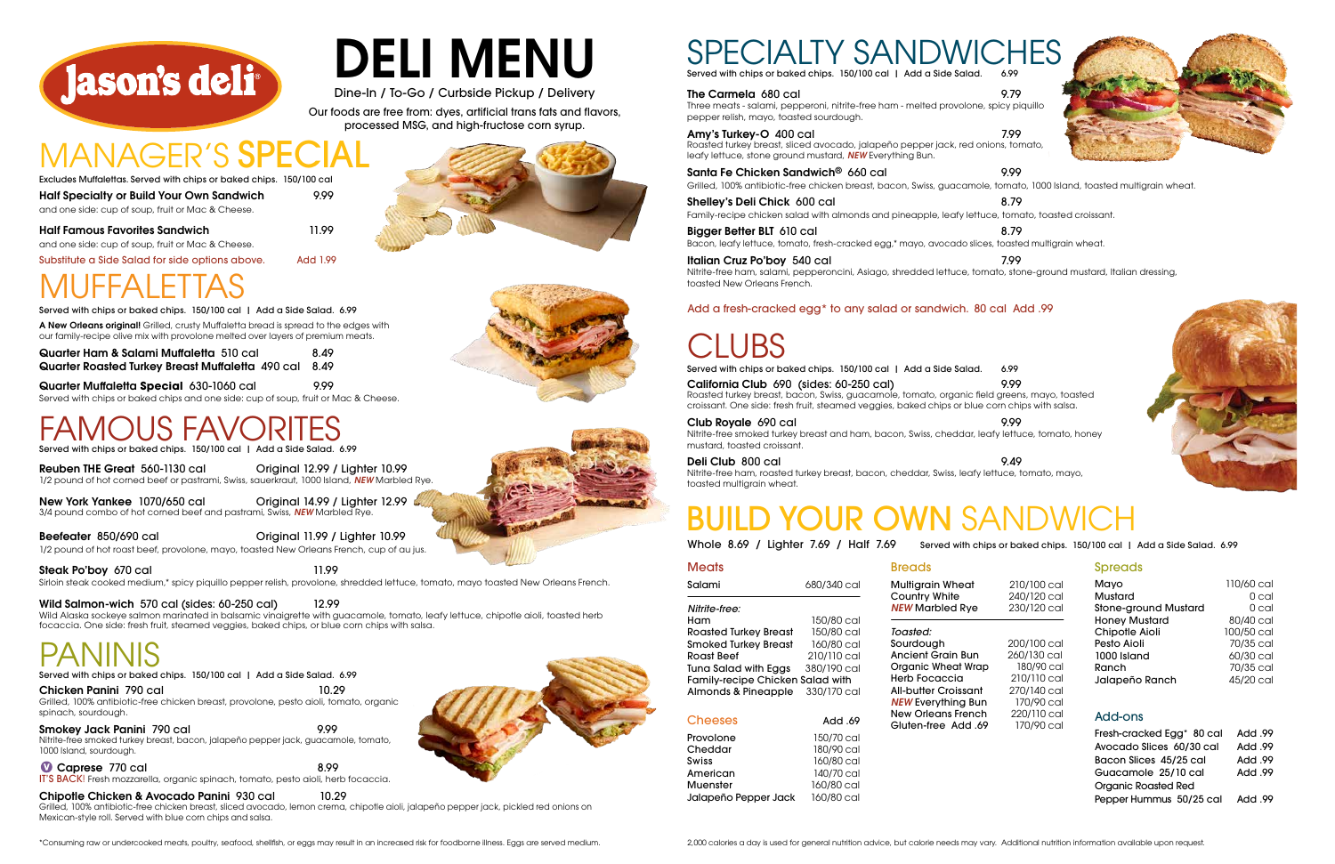> Organic Roasted Red Pepper Hummus 50/25 cal Add .99

#### Spreads

| Meats                                   |             |
|-----------------------------------------|-------------|
| Salami                                  | 680/340 cal |
| Nitrite-free:                           |             |
| Ham                                     | 150/80 cal  |
| Roasted Turkey Breast                   | 150/80 cal  |
| Smoked Turkey Breast                    | 160/80 cal  |
| Roast Beef                              | 210/110 cal |
| <b>Tuna Salad with Eggs</b>             | 380/190 cal |
| <b>Family-recipe Chicken Salad with</b> |             |
| Almonds & Pineapple                     | 330/170 cal |
|                                         |             |
| <b>Cheeses</b>                          | 69. Add     |
| Provolone                               | 150/70 cal  |
| Cheddar                                 | 180/90 cal  |

| <b>Multigrain Wheat</b>     | 210/100 cal | Mayo                                  | 110/60 cal     |
|-----------------------------|-------------|---------------------------------------|----------------|
| Country White               | 240/120 cal | Mustard                               | $0$ cal        |
| <b>NEW Marbled Rye</b>      | 230/120 cal | <b>Stone-ground Mustard</b>           | 0 cal          |
|                             |             | <b>Honey Mustard</b>                  | 80/40 cal      |
| Toasted:                    |             | Chipotle Aioli                        | 100/50 cal     |
| Sourdough                   | 200/100 cal | Pesto Aioli                           | 70/35 cal      |
| <b>Ancient Grain Bun</b>    | 260/130 cal | 1000 Island                           | 60/30 cal      |
| Organic Wheat Wrap          | 180/90 cal  | Ranch                                 | 70/35 cal      |
| Herb Focaccia               | 210/110 cal | Jalapeño Ranch                        | 45/20 cal      |
| <b>All-butter Croissant</b> | 270/140 cal |                                       |                |
| <b>NEW Everything Bun</b>   | 170/90 cal  |                                       |                |
| New Orleans French          | 220/110 cal | Add-ons                               |                |
| 69. Gluten-free Add         | 170/90 cal  |                                       |                |
|                             |             | Fresh-cracked Egg <sup>*</sup> 80 cal | Add .99        |
|                             |             | Avocado Slices 60/30 cal              | <b>Add .99</b> |
|                             |             | Bacon Slices 45/25 cal                | <b>Add .99</b> |
|                             |             | Guacamole 25/10 cal                   | <b>Add .99</b> |

## BUILD YOUR OWN SANDWICH

**Breads** 

New York Yankee 1070/650 cal Criginal 14.99 / Lighter 12.99 3/4 pound combo of hot corned beef and pastrami, Swiss, *NEW* Marbled Rye.

| <b>Cheeses</b>  | Add .69    |
|-----------------|------------|
| Provolone       | 150/70 cal |
| Cheddar         | 180/90 cal |
| Swiss           | 160/80 cal |
| American        | 140/70 cal |
| <b>Muenster</b> | 160/80 cal |





Jalapeño Pepper Jack 160/80 cal



A New Orleans original! Grilled, crusty Muffaletta bread is spread to the edges with Served with chips or baked chips. 150/100 cal | Add a Side Salad. 6.99

Half Famous Favorites Sandwich 11.99

Half Specialty or Build Your Own Sandwich 9.99 and one side: cup of soup, fruit or Mac & Cheese. Excludes Muffalettas. Served with chips or baked chips. 150/100 cal

and one side: cup of soup, fruit or Mac & Cheese.

Chicken Panini 790 cal 10.29 Grilled, 100% antibiotic-free chicken breast, provolone, pesto aioli, tomato, organic spinach, sourdough.

Reuben THE Great 560-1130 cal Original 12.99 / Lighter 10.99 1/2 pound of hot corned beef or pastrami, Swiss, sauerkraut, 1000 Island, *NEW* Marbled Rye.

#### Smokey Jack Panini 790 cal 9.99 Nitrite-free smoked turkey breast, bacon, jalapeño pepper jack, guacamole, tomato, 1000 Island, sourdough.

Caprese 770 cal 8.99

Beefeater 850/690 cal Original 11.99 / Lighter 10.99

1/2 pound of hot roast beef, provolone, mayo, toasted New Orleans French, cup of au jus.

Steak Po'boy 670 cal 11.99

Santa Fe Chicken Sandwich® 660 cal 9.99 Grilled, 100% antibiotic-free chicken breast, bacon, Swiss, guacamole, tomato, 1000 Island, toasted multigrain wheat.

Sirloin steak cooked medium,\* spicy piquillo pepper relish, provolone, shredded lettuce, tomato, mayo toasted New Orleans French.

### Wild Salmon-wich 570 cal (sides: 60-250 cal) 12.99

Shelley's Deli Chick 600 cal 8.79 Family-recipe chicken salad with almonds and pineapple, leafy lettuce, tomato, toasted croissant.

Bigger Better BLT 610 cal 8.79 Bacon, leafy lettuce, tomato, fresh-cracked egg,\* mayo, avocado slices, toasted multigrain wheat.

Italian Cruz Po'boy 540 cal 7.99 Nitrite-free ham, salami, pepperoncini, Asiago, shredded lettuce, tomato, stone-ground mustard, Italian dressing, toasted New Orleans French.

Wild Alaska sockeye salmon marinated in balsamic vinaigrette with guacamole, tomato, leafy lettuce, chipotle aioli, toasted herb focaccia. One side: fresh fruit, steamed veggies, baked chips, or blue corn chips with salsa.

PANINIS<br>Served with chips or baked chips. 150/100 cal | Add a Side Salad. 6.99

Served with chips or baked chips. 150/100 cal | Add a Side Salad. 6.99

## MUFFALETTAS

Quarter Muffaletta **Special** 630-1060 cal 9.99 Served with chips or baked chips and one side: cup of soup, fruit or Mac & Cheese.

## US FAV

Quarter Ham & Salami Muffaletta 510 cal 8.49 Quarter Roasted Turkey Breast Muffaletta 490 cal 8.49 our family-recipe olive mix with provolone melted over layers of premium meats.

Whole 8.69 / Lighter 7.69 / Half 7.69 Served with chips or baked chips. 150/100 cal | Add a Side Salad. 6.99

IT'S BACK! Fresh mozzarella, organic spinach, tomato, pesto aioli, herb focaccia.

### Chipotle Chicken & Avocado Panini 930 cal 10.29

Grilled, 100% antibiotic-free chicken breast, sliced avocado, lemon crema, chipotle aioli, jalapeño pepper jack, pickled red onions on Mexican-style roll. Served with blue corn chips and salsa.



# DELI MENU

Dine-In / To-Go / Curbside Pickup / Delivery

Our foods are free from: dyes, artificial trans fats and flavors, processed MSG, and high-fructose corn syrup.

## MANAGER'S SPE



#### California Club 690 (sides: 60-250 cal) 9.99

Roasted turkey breast, bacon, Swiss, guacamole, tomato, organic field greens, mayo, toasted croissant. One side: fresh fruit, steamed veggies, baked chips or blue corn chips with salsa.

#### Club Royale 690 cal 9.99

Nitrite-free smoked turkey breast and ham, bacon, Swiss, cheddar, leafy lettuce, tomato, honey mustard, toasted croissant.

#### Deli Club 800 cal 9.49

Nitrite-free ham, roasted turkey breast, bacon, cheddar, Swiss, leafy lettuce, tomato, mayo, toasted multigrain wheat.

Served with chips or baked chips. 150/100 cal | Add a Side Salad. 6.99

Served with chips or baked chips. 150/100 cal | Add a Side Salad. 6.99

#### The Carmela 680 cal 9.79

Substitute a Side Salad for side options above. Add 1.99

### Add a fresh-cracked egg\* to any salad or sandwich. 80 cal Add .99

## JBS

\*Consuming raw or undercooked meats, poultry, seafood, shellfish, or eggs may result in an increased risk for foodborne illness. Eggs are served medium.

Three meats - salami, pepperoni, nitrite-free ham - melted provolone, spicy piquillo pepper relish, mayo, toasted sourdough.

#### Amy's Turkey-O 400 cal 7.99

Roasted turkey breast, sliced avocado, jalapeño pepper jack, red onions, tomato, leafy lettuce, stone ground mustard, *NEW* Everything Bun.